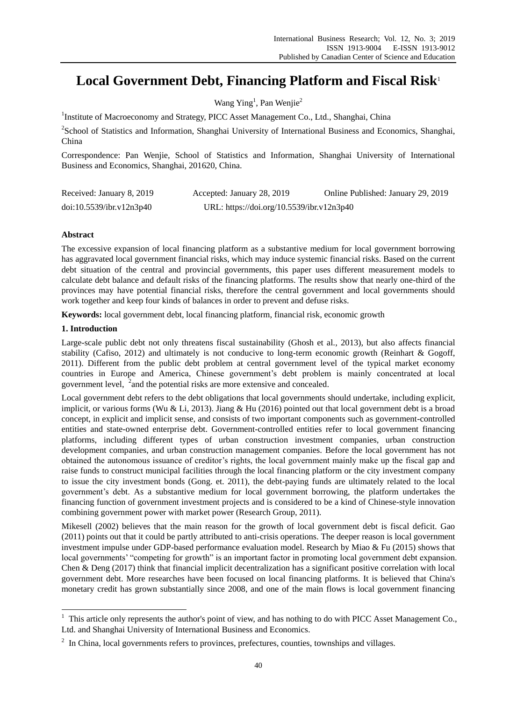# **Local Government Debt, Financing Platform and Fiscal Risk**<sup>1</sup>

Wang Ying<sup>1</sup>, Pan Wenjie<sup>2</sup>

<sup>1</sup>Institute of Macroeconomy and Strategy, PICC Asset Management Co., Ltd., Shanghai, China

<sup>2</sup>School of Statistics and Information, Shanghai University of International Business and Economics, Shanghai, China

Correspondence: Pan Wenjie, School of Statistics and Information, Shanghai University of International Business and Economics, Shanghai, 201620, China.

| Received: January 8, 2019 | Accepted: January 28, 2019                | Online Published: January 29, 2019 |
|---------------------------|-------------------------------------------|------------------------------------|
| doi:10.5539/ibr.v12n3p40  | URL: https://doi.org/10.5539/ibr.v12n3p40 |                                    |

# **Abstract**

The excessive expansion of local financing platform as a substantive medium for local government borrowing has aggravated local government financial risks, which may induce systemic financial risks. Based on the current debt situation of the central and provincial governments, this paper uses different measurement models to calculate debt balance and default risks of the financing platforms. The results show that nearly one-third of the provinces may have potential financial risks, therefore the central government and local governments should work together and keep four kinds of balances in order to prevent and defuse risks.

**Keywords:** local government debt, local financing platform, financial risk, economic growth

# **1. Introduction**

-

Large-scale public debt not only threatens fiscal sustainability (Ghosh et al., 2013), but also affects financial stability (Cafiso, 2012) and ultimately is not conducive to long-term economic growth (Reinhart & Gogoff, 2011). Different from the public debt problem at central government level of the typical market economy countries in Europe and America, Chinese government's debt problem is mainly concentrated at local government level, <sup>2</sup> and the potential risks are more extensive and concealed.

Local government debt refers to the debt obligations that local governments should undertake, including explicit, implicit, or various forms (Wu & Li, 2013). Jiang & Hu (2016) pointed out that local government debt is a broad concept, in explicit and implicit sense, and consists of two important components such as government-controlled entities and state-owned enterprise debt. Government-controlled entities refer to local government financing platforms, including different types of urban construction investment companies, urban construction development companies, and urban construction management companies. Before the local government has not obtained the autonomous issuance of creditor's rights, the local government mainly make up the fiscal gap and raise funds to construct municipal facilities through the local financing platform or the city investment company to issue the city investment bonds (Gong. et. 2011), the debt-paying funds are ultimately related to the local government's debt. As a substantive medium for local government borrowing, the platform undertakes the financing function of government investment projects and is considered to be a kind of Chinese-style innovation combining government power with market power (Research Group, 2011).

Mikesell (2002) believes that the main reason for the growth of local government debt is fiscal deficit. Gao (2011) points out that it could be partly attributed to anti-crisis operations. The deeper reason is local government investment impulse under GDP-based performance evaluation model. Research by Miao & Fu (2015) shows that local governments' "competing for growth" is an important factor in promoting local government debt expansion. Chen & Deng (2017) think that financial implicit decentralization has a significant positive correlation with local government debt. More researches have been focused on local financing platforms. It is believed that China's monetary credit has grown substantially since 2008, and one of the main flows is local government financing

 $1$  This article only represents the author's point of view, and has nothing to do with PICC Asset Management Co., Ltd. and Shanghai University of International Business and Economics.

 $2\;$  In China, local governments refers to provinces, prefectures, counties, townships and villages.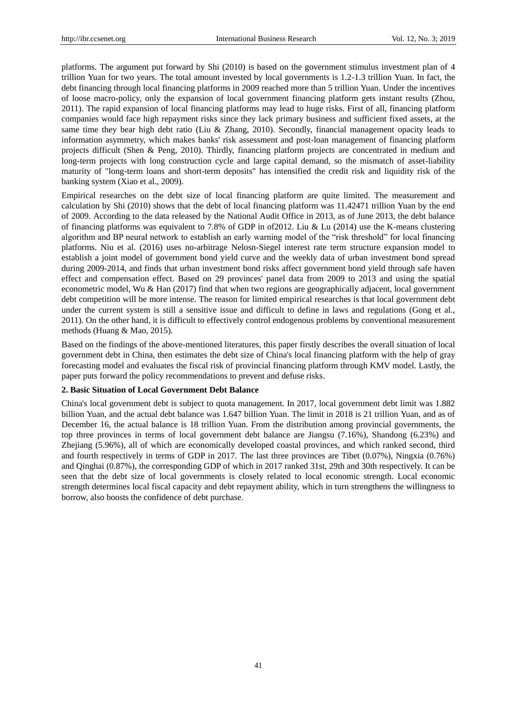platforms. The argument put forward by Shi (2010) is based on the government stimulus investment plan of 4 trillion Yuan for two years. The total amount invested by local governments is 1.2-1.3 trillion Yuan. In fact, the debt financing through local financing platforms in 2009 reached more than 5 trillion Yuan. Under the incentives of loose macro-policy, only the expansion of local government financing platform gets instant results (Zhou, 2011). The rapid expansion of local financing platforms may lead to huge risks. First of all, financing platform companies would face high repayment risks since they lack primary business and sufficient fixed assets, at the same time they bear high debt ratio (Liu & Zhang, 2010). Secondly, financial management opacity leads to information asymmetry, which makes banks' risk assessment and post-loan management of financing platform projects difficult (Shen & Peng, 2010). Thirdly, financing platform projects are concentrated in medium and long-term projects with long construction cycle and large capital demand, so the mismatch of asset-liability maturity of "long-term loans and short-term deposits" has intensified the credit risk and liquidity risk of the banking system (Xiao et al., 2009).

Empirical researches on the debt size of local financing platform are quite limited. The measurement and calculation by Shi (2010) shows that the debt of local financing platform was 11.42471 trillion Yuan by the end of 2009. According to the data released by the National Audit Office in 2013, as of June 2013, the debt balance of financing platforms was equivalent to 7.8% of GDP in of2012. Liu & Lu (2014) use the K-means clustering algorithm and BP neural network to establish an early warning model of the "risk threshold" for local financing platforms. Niu et al. (2016) uses no-arbitrage Nelosn-Siegel interest rate term structure expansion model to establish a joint model of government bond yield curve and the weekly data of urban investment bond spread during 2009-2014, and finds that urban investment bond risks affect government bond yield through safe haven effect and compensation effect. Based on 29 provinces' panel data from 2009 to 2013 and using the spatial econometric model, Wu & Han (2017) find that when two regions are geographically adjacent, local government debt competition will be more intense. The reason for limited empirical researches is that local government debt under the current system is still a sensitive issue and difficult to define in laws and regulations (Gong et al., 2011). On the other hand, it is difficult to effectively control endogenous problems by conventional measurement methods (Huang & Mao, 2015).

Based on the findings of the above-mentioned literatures, this paper firstly describes the overall situation of local government debt in China, then estimates the debt size of China's local financing platform with the help of gray forecasting model and evaluates the fiscal risk of provincial financing platform through KMV model. Lastly, the paper puts forward the policy recommendations to prevent and defuse risks.

## **2. Basic Situation of Local Government Debt Balance**

China's local government debt is subject to quota management. In 2017, local government debt limit was 1.882 billion Yuan, and the actual debt balance was 1.647 billion Yuan. The limit in 2018 is 21 trillion Yuan, and as of December 16, the actual balance is 18 trillion Yuan. From the distribution among provincial governments, the top three provinces in terms of local government debt balance are Jiangsu (7.16%), Shandong (6.23%) and Zhejiang (5.96%), all of which are economically developed coastal provinces, and which ranked second, third and fourth respectively in terms of GDP in 2017. The last three provinces are Tibet (0.07%), Ningxia (0.76%) and Qinghai (0.87%), the corresponding GDP of which in 2017 ranked 31st, 29th and 30th respectively. It can be seen that the debt size of local governments is closely related to local economic strength. Local economic strength determines local fiscal capacity and debt repayment ability, which in turn strengthens the willingness to borrow, also boosts the confidence of debt purchase.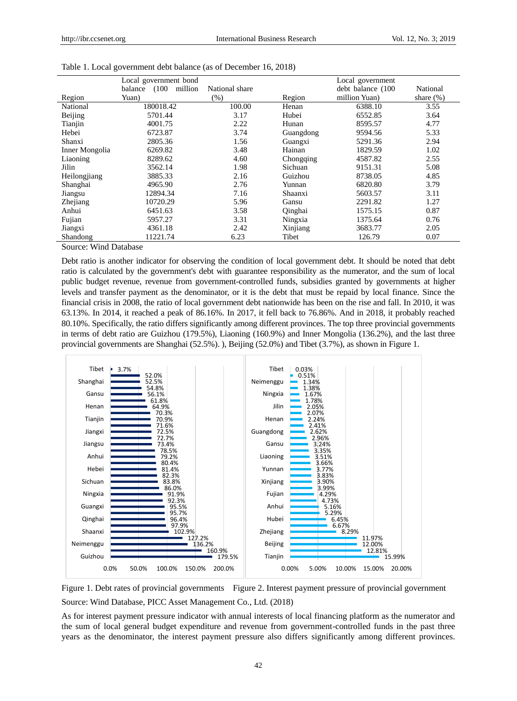|                | Local government bond       |                |           | Local government  |              |  |
|----------------|-----------------------------|----------------|-----------|-------------------|--------------|--|
|                | (100)<br>million<br>balance | National share |           | debt balance (100 | National     |  |
| Region         | Yuan)                       | $(\%)$         | Region    | million Yuan)     | share $(\%)$ |  |
| National       | 180018.42                   | 100.00         | Henan     | 6388.10           | 3.55         |  |
| Beijing        | 5701.44                     | 3.17           | Hubei     | 6552.85           | 3.64         |  |
| Tianjin        | 4001.75                     | 2.22           | Hunan     | 8595.57           | 4.77         |  |
| Hebei          | 6723.87                     | 3.74           | Guangdong | 9594.56           | 5.33         |  |
| Shanxi         | 2805.36                     | 1.56           | Guangxi   | 5291.36           | 2.94         |  |
| Inner Mongolia | 6269.82                     | 3.48           | Hainan    | 1829.59           | 1.02         |  |
| Liaoning       | 8289.62                     | 4.60           | Chongqing | 4587.82           | 2.55         |  |
| Jilin          | 3562.14                     | 1.98           | Sichuan   | 9151.31           | 5.08         |  |
| Heilongjiang   | 3885.33                     | 2.16           | Guizhou   | 8738.05           | 4.85         |  |
| Shanghai       | 4965.90                     | 2.76           | Yunnan    | 6820.80           | 3.79         |  |
| Jiangsu        | 12894.34                    | 7.16           | Shaanxi   | 5603.57           | 3.11         |  |
| Zhejiang       | 10720.29                    | 5.96           | Gansu     | 2291.82           | 1.27         |  |
| Anhui          | 6451.63                     | 3.58           | Qinghai   | 1575.15           | 0.87         |  |
| Fujian         | 5957.27                     | 3.31           | Ningxia   | 1375.64           | 0.76         |  |
| Jiangxi        | 4361.18                     | 2.42           | Xinjiang  | 3683.77           | 2.05         |  |
| Shandong       | 11221.74                    | 6.23           | Tibet     | 126.79            | 0.07         |  |

| Table 1. Local government debt balance (as of December 16, 2018) |  |  |  |  |  |
|------------------------------------------------------------------|--|--|--|--|--|
|------------------------------------------------------------------|--|--|--|--|--|

Source: Wind Database

Debt ratio is another indicator for observing the condition of local government debt. It should be noted that debt ratio is calculated by the government's debt with guarantee responsibility as the numerator, and the sum of local public budget revenue, revenue from government-controlled funds, subsidies granted by governments at higher levels and transfer payment as the denominator, or it is the debt that must be repaid by local finance. Since the financial crisis in 2008, the ratio of local government debt nationwide has been on the rise and fall. In 2010, it was 63.13%. In 2014, it reached a peak of 86.16%. In 2017, it fell back to 76.86%. And in 2018, it probably reached 80.10%. Specifically, the ratio differs significantly among different provinces. The top three provincial governments in terms of debt ratio are Guizhou (179.5%), Liaoning (160.9%) and Inner Mongolia (136.2%), and the last three provincial governments are Shanghai (52.5%). ), Beijing (52.0%) and Tibet (3.7%), as shown in Figure 1.



Figure 1. Debt rates of provincial governments Figure 2. Interest payment pressure of provincial government Source: Wind Database, PICC Asset Management Co., Ltd. (2018)

As for interest payment pressure indicator with annual interests of local financing platform as the numerator and the sum of local general budget expenditure and revenue from government-controlled funds in the past three years as the denominator, the interest payment pressure also differs significantly among different provinces.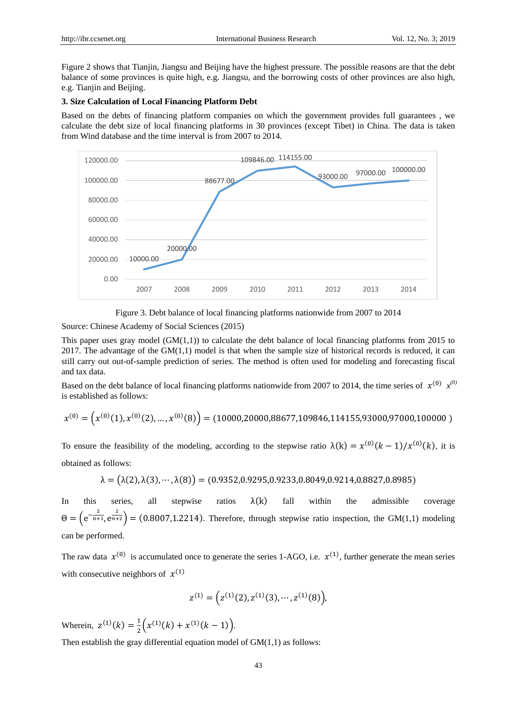Figure 2 shows that Tianjin, Jiangsu and Beijing have the highest pressure. The possible reasons are that the debt balance of some provinces is quite high, e.g. Jiangsu, and the borrowing costs of other provinces are also high, e.g. Tianjin and Beijing.

# **3. Size Calculation of Local Financing Platform Debt**

Based on the debts of financing platform companies on which the government provides full guarantees , we calculate the debt size of local financing platforms in 30 provinces (except Tibet) in China. The data is taken from Wind database and the time interval is from 2007 to 2014.





Source: Chinese Academy of Social Sciences (2015)

This paper uses gray model  $(GM(1,1))$  to calculate the debt balance of local financing platforms from 2015 to 2017. The advantage of the  $GM(1,1)$  model is that when the sample size of historical records is reduced, it can still carry out out-of-sample prediction of series. The method is often used for modeling and forecasting fiscal and tax data.

Based on the debt balance of local financing platforms nationwide from 2007 to 2014, the time series of  $x^{(0)}$   $x^{(0)}$ is established as follows:

$$
x^{(0)} = \left(x^{(0)}(1), x^{(0)}(2), \ldots, x^{(0)}(8)\right) = (10000, 20000, 88677, 109846, 114155, 93000, 97000, 100000)
$$

To ensure the feasibility of the modeling, according to the stepwise ratio  $\lambda(k) = x^{(0)}(k-1)/x^{(0)}(k)$ , it is obtained as follows:

$$
\lambda = (\lambda(2), \lambda(3), \cdots, \lambda(8)) = (0.9352, 0.9295, 0.9233, 0.8049, 0.9214, 0.8827, 0.8985)
$$

In this series, all stepwise ratios  $\lambda(k)$  fall within the admissible coverage  $\Theta = \left(e^{-\frac{2}{n+1}, e^{\frac{2}{n+2}}}\right) = (0.8007, 1.2214)$ . Therefore, through stepwise ratio inspection, the GM(1,1) modeling can be performed.

The raw data  $x^{(0)}$  is accumulated once to generate the series 1-AGO, i.e.  $x^{(1)}$ , further generate the mean series with consecutive neighbors of  $x^{(1)}$ 

$$
z^{(1)} = (z^{(1)}(2), z^{(1)}(3), \cdots, z^{(1)}(8)),
$$

Wherein,  $z^{(1)}(k) = \frac{1}{2}$  $\frac{1}{2}\left(x^{(1)}(k) + x^{(1)}(k-1)\right).$ 

Then establish the gray differential equation model of GM(1,1) as follows: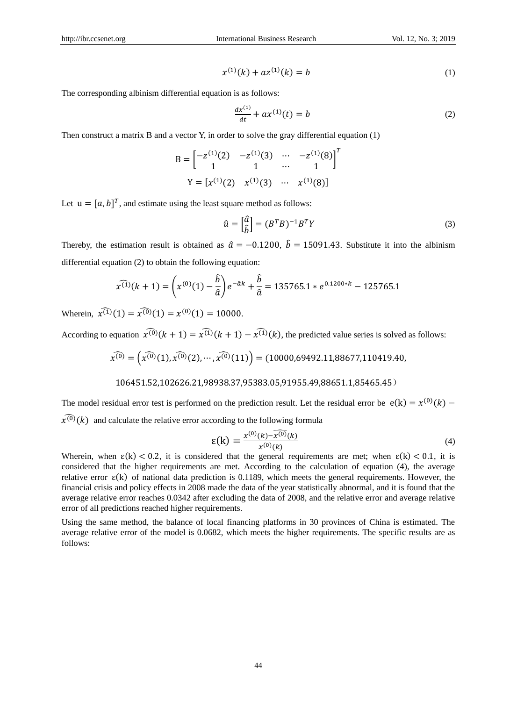$$
x^{(1)}(k) + az^{(1)}(k) = b \tag{1}
$$

The corresponding albinism differential equation is as follows:

$$
\frac{dx^{(1)}}{dt} + ax^{(1)}(t) = b \tag{2}
$$

Then construct a matrix B and a vector Y, in order to solve the gray differential equation (1)

$$
B = \begin{bmatrix} -z^{(1)}(2) & -z^{(1)}(3) & \cdots & -z^{(1)}(8) \\ 1 & 1 & \cdots & 1 \end{bmatrix}^T
$$

$$
Y = [x^{(1)}(2) \quad x^{(1)}(3) \quad \cdots \quad x^{(1)}(8)]
$$

Let  $u = [a, b]^T$ , and estimate using the least square method as follows:

$$
\hat{u} = \begin{bmatrix} \hat{a} \\ \hat{b} \end{bmatrix} = (B^T B)^{-1} B^T Y \tag{3}
$$

Thereby, the estimation result is obtained as  $\hat{a} = -0.1200$ ,  $\hat{b} = 15091.43$ . Substitute it into the albinism differential equation (2) to obtain the following equation:

$$
\widehat{x^{(1)}}(k+1) = \left(x^{(0)}(1) - \frac{\widehat{b}}{\widehat{a}}\right)e^{-\widehat{a}k} + \frac{\widehat{b}}{\widehat{a}} = 135765.1 \times e^{0.1200 \times k} - 125765.1
$$

Wherein,  $\widehat{x^{(1)}}(1) = \widehat{x^{(0)}}(1) = x^{(0)}(1) = 10000$ .

According to equation  $\widehat{x^{(0)}}(k + 1) = \widehat{x^{(1)}}(k + 1) - \widehat{x^{(1)}}(k)$ , the predicted value series is solved as follows:

$$
\widehat{x^{(0)}} = \left(\widehat{x^{(0)}}(1), \widehat{x^{(0)}}(2), \cdots, \widehat{x^{(0)}}(11)\right) = (10000, 69492.11, 88677, 110419.40,
$$

## 106451.52,102626.21,98938.37,95383.05,91955.49,88651.1,85465.45)

The model residual error test is performed on the prediction result. Let the residual error be  $e(k) = x^{(0)}(k)$  –  $\widehat{\chi^{(0)}}(k)$  and calculate the relative error according to the following formula

$$
\varepsilon(\mathbf{k}) = \frac{x^{(0)}(\mathbf{k}) - \widehat{x^{(0)}}(\mathbf{k})}{x^{(0)}(\mathbf{k})}
$$
(4)

Wherein, when  $\varepsilon(k) < 0.2$ , it is considered that the general requirements are met; when  $\varepsilon(k) < 0.1$ , it is considered that the higher requirements are met. According to the calculation of equation (4), the average relative error  $\varepsilon(k)$  of national data prediction is 0.1189, which meets the general requirements. However, the financial crisis and policy effects in 2008 made the data of the year statistically abnormal, and it is found that the average relative error reaches 0.0342 after excluding the data of 2008, and the relative error and average relative error of all predictions reached higher requirements.

Using the same method, the balance of local financing platforms in 30 provinces of China is estimated. The average relative error of the model is 0.0682, which meets the higher requirements. The specific results are as follows: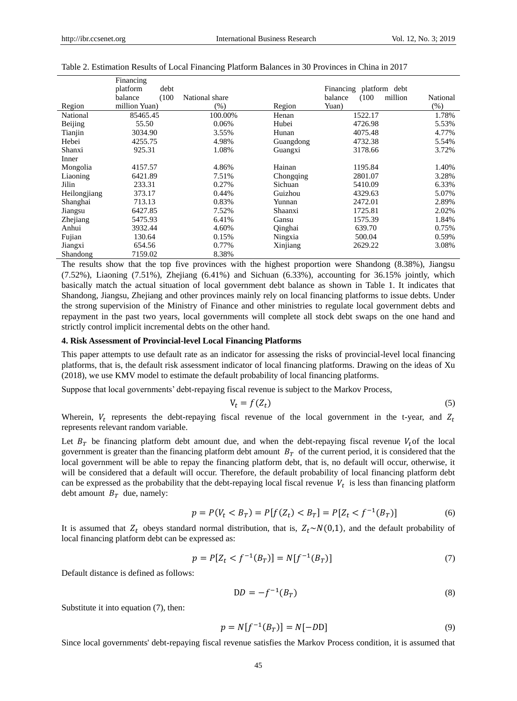|              | Financing        |                |           |                             |          |
|--------------|------------------|----------------|-----------|-----------------------------|----------|
|              | platform<br>debt |                |           | Financing platform<br>debt  |          |
|              | balance<br>(100) | National share |           | balance<br>(100)<br>million | National |
| Region       | million Yuan)    | $(\%)$         | Region    | Yuan)                       | $(\%)$   |
| National     | 85465.45         | 100.00%        | Henan     | 1522.17                     | 1.78%    |
| Beijing      | 55.50            | 0.06%          | Hubei     | 4726.98                     | 5.53%    |
| Tianjin      | 3034.90          | 3.55%          | Hunan     | 4075.48                     | 4.77%    |
| Hebei        | 4255.75          | 4.98%          | Guangdong | 4732.38                     | 5.54%    |
| Shanxi       | 925.31           | 1.08%          | Guangxi   | 3178.66                     | 3.72%    |
| Inner        |                  |                |           |                             |          |
| Mongolia     | 4157.57          | 4.86%          | Hainan    | 1195.84                     | 1.40%    |
| Liaoning     | 6421.89          | 7.51%          | Chongging | 2801.07                     | 3.28%    |
| Jilin        | 233.31           | 0.27%          | Sichuan   | 5410.09                     | 6.33%    |
| Heilongjiang | 373.17           | 0.44%          | Guizhou   | 4329.63                     | 5.07%    |
| Shanghai     | 713.13           | 0.83%          | Yunnan    | 2472.01                     | 2.89%    |
| Jiangsu      | 6427.85          | 7.52%          | Shaanxi   | 1725.81                     | 2.02%    |
| Zhejiang     | 5475.93          | 6.41%          | Gansu     | 1575.39                     | 1.84%    |
| Anhui        | 3932.44          | 4.60%          | Qinghai   | 639.70                      | 0.75%    |
| Fujian       | 130.64           | 0.15%          | Ningxia   | 500.04                      | 0.59%    |
| Jiangxi      | 654.56           | 0.77%          | Xinjiang  | 2629.22                     | 3.08%    |
| Shandong     | 7159.02          | 8.38%          |           |                             |          |

#### Table 2. Estimation Results of Local Financing Platform Balances in 30 Provinces in China in 2017

The results show that the top five provinces with the highest proportion were Shandong (8.38%), Jiangsu (7.52%), Liaoning (7.51%), Zhejiang (6.41%) and Sichuan (6.33%), accounting for 36.15% jointly, which basically match the actual situation of local government debt balance as shown in Table 1. It indicates that Shandong, Jiangsu, Zhejiang and other provinces mainly rely on local financing platforms to issue debts. Under the strong supervision of the Ministry of Finance and other ministries to regulate local government debts and repayment in the past two years, local governments will complete all stock debt swaps on the one hand and strictly control implicit incremental debts on the other hand.

#### **4. Risk Assessment of Provincial-level Local Financing Platforms**

This paper attempts to use default rate as an indicator for assessing the risks of provincial-level local financing platforms, that is, the default risk assessment indicator of local financing platforms. Drawing on the ideas of Xu (2018), we use KMV model to estimate the default probability of local financing platforms.

Suppose that local governments' debt-repaying fiscal revenue is subject to the Markov Process,

$$
V_t = f(Z_t) \tag{5}
$$

Wherein,  $V_t$  represents the debt-repaying fiscal revenue of the local government in the t-year, and  $Z_t$ represents relevant random variable.

Let  $B_T$  be financing platform debt amount due, and when the debt-repaying fiscal revenue  $V_t$  of the local government is greater than the financing platform debt amount  $B<sub>T</sub>$  of the current period, it is considered that the local government will be able to repay the financing platform debt, that is, no default will occur, otherwise, it will be considered that a default will occur. Therefore, the default probability of local financing platform debt can be expressed as the probability that the debt-repaying local fiscal revenue  $V_t$  is less than financing platform debt amount  $B_T$  due, namely:

$$
p = P(V_t < B_T) = P[f(Z_t) < B_T] = P[Z_t < f^{-1}(B_T)] \tag{6}
$$

It is assumed that  $Z_t$  obeys standard normal distribution, that is,  $Z_t \sim N(0,1)$ , and the default probability of local financing platform debt can be expressed as:

$$
p = P[Z_t < f^{-1}(B_T)] = N[f^{-1}(B_T)] \tag{7}
$$

Default distance is defined as follows:

$$
DD = -f^{-1}(B_T) \tag{8}
$$

Substitute it into equation (7), then:

$$
p = N[f^{-1}(B_T)] = N[-DD]
$$
\n(9)

Since local governments' debt-repaying fiscal revenue satisfies the Markov Process condition, it is assumed that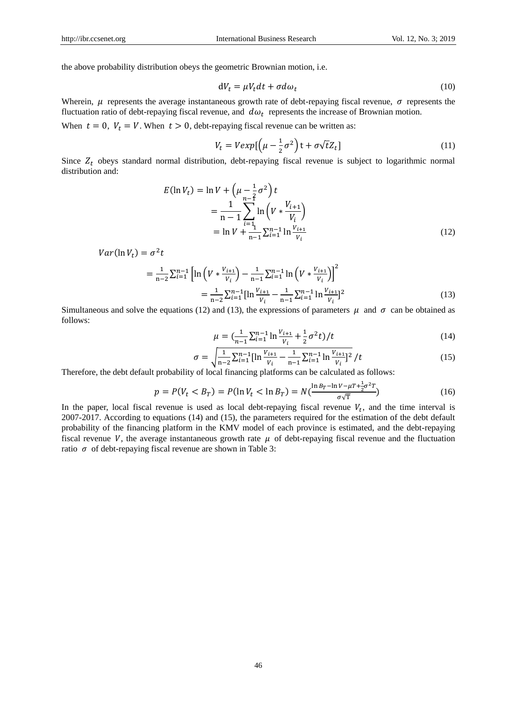the above probability distribution obeys the geometric Brownian motion, i.e.

$$
dV_t = \mu V_t dt + \sigma d\omega_t \tag{10}
$$

Wherein,  $\mu$  represents the average instantaneous growth rate of debt-repaying fiscal revenue,  $\sigma$  represents the fluctuation ratio of debt-repaying fiscal revenue, and  $d\omega_t$  represents the increase of Brownian motion.

When  $t = 0$ ,  $V_t = V$ . When  $t > 0$ , debt-repaying fiscal revenue can be written as:

$$
V_t = V \exp\left[\left(\mu - \frac{1}{2}\sigma^2\right)t + \sigma\sqrt{t}Z_t\right]
$$
\n(11)

Since  $Z_t$  obeys standard normal distribution, debt-repaying fiscal revenue is subject to logarithmic normal distribution and:

$$
E(\ln V_t) = \ln V + \left(\mu - \frac{1}{2}\sigma^2\right)t
$$
  
= 
$$
\frac{1}{n-1} \sum_{i=1}^{n-1} \ln \left(V * \frac{V_{i+1}}{V_i}\right)
$$
  
= 
$$
\ln V + \frac{1}{n-1} \sum_{i=1}^{n-1} \ln \frac{V_{i+1}}{V_i}
$$
 (12)

 $Var(\ln V_t) = \sigma^2 t$ 

$$
= \frac{1}{n-2} \sum_{i=1}^{n-1} \left[ \ln \left( V \ast \frac{V_{i+1}}{V_i} \right) - \frac{1}{n-1} \sum_{i=1}^{n-1} \ln \left( V \ast \frac{V_{i+1}}{V_i} \right) \right]^2
$$

$$
= \frac{1}{n-2} \sum_{i=1}^{n-1} \left[ \ln \frac{V_{i+1}}{V_i} - \frac{1}{n-1} \sum_{i=1}^{n-1} \ln \frac{V_{i+1}}{V_i} \right]^2
$$
(13)

Simultaneous and solve the equations (12) and (13), the expressions of parameters  $\mu$  and  $\sigma$  can be obtained as follows:

$$
\mu = \left(\frac{1}{n-1} \sum_{i=1}^{n-1} \ln \frac{V_{i+1}}{V_i} + \frac{1}{2} \sigma^2 t\right) / t \tag{14}
$$

$$
\sigma = \sqrt{\frac{1}{n-2} \sum_{i=1}^{n-1} [\ln \frac{V_{i+1}}{V_i} - \frac{1}{n-1} \sum_{i=1}^{n-1} \ln \frac{V_{i+1}}{V_i}]^2} / t
$$
(15)

Therefore, the debt default probability of local financing platforms can be calculated as follows:

$$
p = P(V_t < B_T) = P(\ln V_t < \ln B_T) = N\left(\frac{\ln B_T - \ln V - \mu T + \frac{1}{2}\sigma^2 T}{\sigma \sqrt{T}}\right) \tag{16}
$$

In the paper, local fiscal revenue is used as local debt-repaying fiscal revenue  $V_t$ , and the time interval is 2007-2017. According to equations (14) and (15), the parameters required for the estimation of the debt default probability of the financing platform in the KMV model of each province is estimated, and the debt-repaying fiscal revenue V, the average instantaneous growth rate  $\mu$  of debt-repaying fiscal revenue and the fluctuation ratio  $\sigma$  of debt-repaying fiscal revenue are shown in Table 3: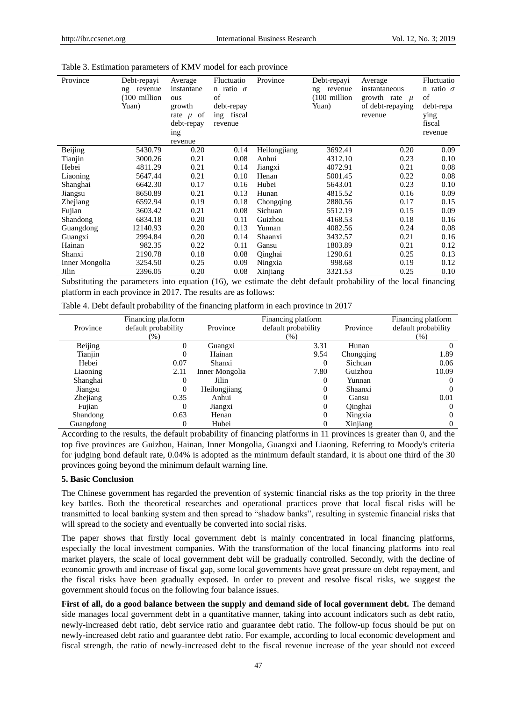| Province       | Debt-repayi   | Average       | Fluctuatio       | Province     | Debt-repayi   | Average           | Fluctuatio       |
|----------------|---------------|---------------|------------------|--------------|---------------|-------------------|------------------|
|                | revenue<br>ng | instantane    | n ratio $\sigma$ |              | revenue<br>ng | instantaneous     | n ratio $\sigma$ |
|                | (100 million  | ous           | of               |              | (100 million  | growth rate $\mu$ | of               |
|                | Yuan)         | growth        | debt-repay       |              | Yuan)         | of debt-repaying  | debt-repa        |
|                |               | rate $\mu$ of | ing fiscal       |              |               | revenue           | ying             |
|                |               | debt-repay    | revenue          |              |               |                   | fiscal           |
|                |               | ing           |                  |              |               |                   | revenue          |
|                |               | revenue       |                  |              |               |                   |                  |
| Beijing        | 5430.79       | 0.20          | 0.14             | Heilongjiang | 3692.41       | 0.20              | 0.09             |
| Tianjin        | 3000.26       | 0.21          | 0.08             | Anhui        | 4312.10       | 0.23              | 0.10             |
| Hebei          | 4811.29       | 0.21          | 0.14             | Jiangxi      | 4072.91       | 0.21              | 0.08             |
| Liaoning       | 5647.44       | 0.21          | 0.10             | Henan        | 5001.45       | 0.22              | 0.08             |
| Shanghai       | 6642.30       | 0.17          | 0.16             | Hubei        | 5643.01       | 0.23              | 0.10             |
| Jiangsu        | 8650.89       | 0.21          | 0.13             | Hunan        | 4815.52       | 0.16              | 0.09             |
| Zhejiang       | 6592.94       | 0.19          | 0.18             | Chongqing    | 2880.56       | 0.17              | 0.15             |
| Fujian         | 3603.42       | 0.21          | 0.08             | Sichuan      | 5512.19       | 0.15              | 0.09             |
| Shandong       | 6834.18       | 0.20          | 0.11             | Guizhou      | 4168.53       | 0.18              | 0.16             |
| Guangdong      | 12140.93      | 0.20          | 0.13             | Yunnan       | 4082.56       | 0.24              | 0.08             |
| Guangxi        | 2994.84       | 0.20          | 0.14             | Shaanxi      | 3432.57       | 0.21              | 0.16             |
| Hainan         | 982.35        | 0.22          | 0.11             | Gansu        | 1803.89       | 0.21              | 0.12             |
| Shanxi         | 2190.78       | 0.18          | 0.08             | Qinghai      | 1290.61       | 0.25              | 0.13             |
| Inner Mongolia | 3254.50       | 0.25          | 0.09             | Ningxia      | 998.68        | 0.19              | 0.12             |
| Jilin          | 2396.05       | 0.20          | 0.08             | Xinjiang     | 3321.53       | 0.25              | 0.10             |

Table 3. Estimation parameters of KMV model for each province

Substituting the parameters into equation (16), we estimate the debt default probability of the local financing platform in each province in 2017. The results are as follows:

Table 4. Debt default probability of the financing platform in each province in 2017

|           | Financing platform  |                | Financing platform  |           | Financing platform  |
|-----------|---------------------|----------------|---------------------|-----------|---------------------|
| Province  | default probability | Province       | default probability | Province  | default probability |
|           | $(\%)$              |                | $(\%)$              |           | $(\%)$              |
| Beijing   |                     | Guangxi        | 3.31                | Hunan     |                     |
| Tianjin   | $_{0}$              | Hainan         | 9.54                | Chongqing | 1.89                |
| Hebei     | 0.07                | Shanxi         | 0                   | Sichuan   | 0.06                |
| Liaoning  | 2.11                | Inner Mongolia | 7.80                | Guizhou   | 10.09               |
| Shanghai  | $_{0}$              | Jilin          | 0                   | Yunnan    | $\theta$            |
| Jiangsu   | $_{0}$              | Heilongjiang   | 0                   | Shaanxi   |                     |
| Zhejiang  | 0.35                | Anhui          | 0                   | Gansu     | 0.01                |
| Fujian    | 0                   | Jiangxi        | $\mathbf{0}$        | Qinghai   | 0                   |
| Shandong  | 0.63                | Henan          | $\Omega$            | Ningxia   | 0                   |
| Guangdong | $_{0}$              | Hubei          |                     | Xinjiang  |                     |

According to the results, the default probability of financing platforms in 11 provinces is greater than 0, and the top five provinces are Guizhou, Hainan, Inner Mongolia, Guangxi and Liaoning. Referring to Moody's criteria for judging bond default rate, 0.04% is adopted as the minimum default standard, it is about one third of the 30 provinces going beyond the minimum default warning line.

## **5. Basic Conclusion**

The Chinese government has regarded the prevention of systemic financial risks as the top priority in the three key battles. Both the theoretical researches and operational practices prove that local fiscal risks will be transmitted to local banking system and then spread to "shadow banks", resulting in systemic financial risks that will spread to the society and eventually be converted into social risks.

The paper shows that firstly local government debt is mainly concentrated in local financing platforms, especially the local investment companies. With the transformation of the local financing platforms into real market players, the scale of local government debt will be gradually controlled. Secondly, with the decline of economic growth and increase of fiscal gap, some local governments have great pressure on debt repayment, and the fiscal risks have been gradually exposed. In order to prevent and resolve fiscal risks, we suggest the government should focus on the following four balance issues.

**First of all, do a good balance between the supply and demand side of local government debt.** The demand side manages local government debt in a quantitative manner, taking into account indicators such as debt ratio, newly-increased debt ratio, debt service ratio and guarantee debt ratio. The follow-up focus should be put on newly-increased debt ratio and guarantee debt ratio. For example, according to local economic development and fiscal strength, the ratio of newly-increased debt to the fiscal revenue increase of the year should not exceed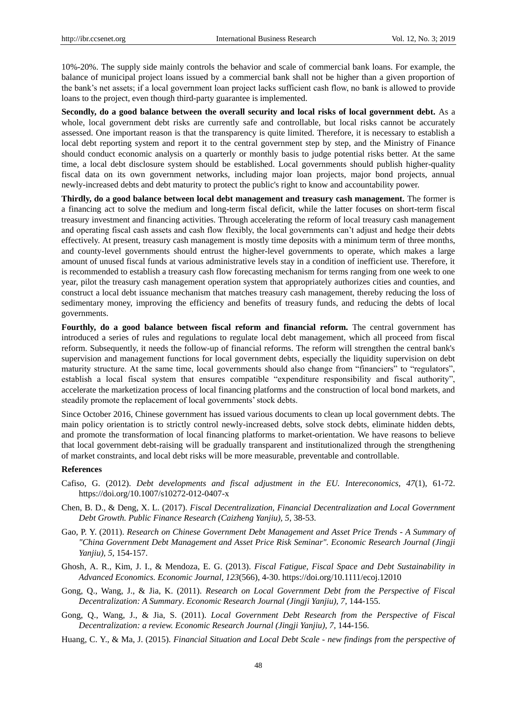10%-20%. The supply side mainly controls the behavior and scale of commercial bank loans. For example, the balance of municipal project loans issued by a commercial bank shall not be higher than a given proportion of the bank's net assets; if a local government loan project lacks sufficient cash flow, no bank is allowed to provide loans to the project, even though third-party guarantee is implemented.

**Secondly, do a good balance between the overall security and local risks of local government debt.** As a whole, local government debt risks are currently safe and controllable, but local risks cannot be accurately assessed. One important reason is that the transparency is quite limited. Therefore, it is necessary to establish a local debt reporting system and report it to the central government step by step, and the Ministry of Finance should conduct economic analysis on a quarterly or monthly basis to judge potential risks better. At the same time, a local debt disclosure system should be established. Local governments should publish higher-quality fiscal data on its own government networks, including major loan projects, major bond projects, annual newly-increased debts and debt maturity to protect the public's right to know and accountability power.

**Thirdly, do a good balance between local debt management and treasury cash management.** The former is a financing act to solve the medium and long-term fiscal deficit, while the latter focuses on short-term fiscal treasury investment and financing activities. Through accelerating the reform of local treasury cash management and operating fiscal cash assets and cash flow flexibly, the local governments can't adjust and hedge their debts effectively. At present, treasury cash management is mostly time deposits with a minimum term of three months, and county-level governments should entrust the higher-level governments to operate, which makes a large amount of unused fiscal funds at various administrative levels stay in a condition of inefficient use. Therefore, it is recommended to establish a treasury cash flow forecasting mechanism for terms ranging from one week to one year, pilot the treasury cash management operation system that appropriately authorizes cities and counties, and construct a local debt issuance mechanism that matches treasury cash management, thereby reducing the loss of sedimentary money, improving the efficiency and benefits of treasury funds, and reducing the debts of local governments.

**Fourthly, do a good balance between fiscal reform and financial reform.** The central government has introduced a series of rules and regulations to regulate local debt management, which all proceed from fiscal reform. Subsequently, it needs the follow-up of financial reforms. The reform will strengthen the central bank's supervision and management functions for local government debts, especially the liquidity supervision on debt maturity structure. At the same time, local governments should also change from "financiers" to "regulators", establish a local fiscal system that ensures compatible "expenditure responsibility and fiscal authority", accelerate the marketization process of local financing platforms and the construction of local bond markets, and steadily promote the replacement of local governments' stock debts.

Since October 2016, Chinese government has issued various documents to clean up local government debts. The main policy orientation is to strictly control newly-increased debts, solve stock debts, eliminate hidden debts, and promote the transformation of local financing platforms to market-orientation. We have reasons to believe that local government debt-raising will be gradually transparent and institutionalized through the strengthening of market constraints, and local debt risks will be more measurable, preventable and controllable.

## **References**

- Cafiso, G. (2012). *Debt developments and fiscal adjustment in the EU. Intereconomics, 47*(1), 61-72. https://doi.org/10.1007/s10272-012-0407-x
- Chen, B. D., & Deng, X. L. (2017). *Fiscal Decentralization, Financial Decentralization and Local Government Debt Growth. Public Finance Research (Caizheng Yanjiu), 5,* 38-53.
- Gao, P. Y. (2011). *Research on Chinese Government Debt Management and Asset Price Trends - A Summary of "China Government Debt Management and Asset Price Risk Seminar". Economic Research Journal (Jingji Yanjiu), 5,* 154-157.
- Ghosh, A. R., Kim, J. I., & Mendoza, E. G. (2013). *Fiscal Fatigue, Fiscal Space and Debt Sustainability in Advanced Economics. Economic Journal, 123*(566), 4-30. https://doi.org/10.1111/ecoj.12010
- Gong, Q., Wang, J., & Jia, K. (2011). *Research on Local Government Debt from the Perspective of Fiscal Decentralization: A Summary*. *Economic Research Journal (Jingji Yanjiu), 7,* 144-155.
- Gong, Q., Wang, J., & Jia, S. (2011). *Local Government Debt Research from the Perspective of Fiscal Decentralization: a review. Economic Research Journal (Jingji Yanjiu), 7,* 144-156.
- Huang, C. Y., & Ma, J. (2015). *Financial Situation and Local Debt Scale - new findings from the perspective of*